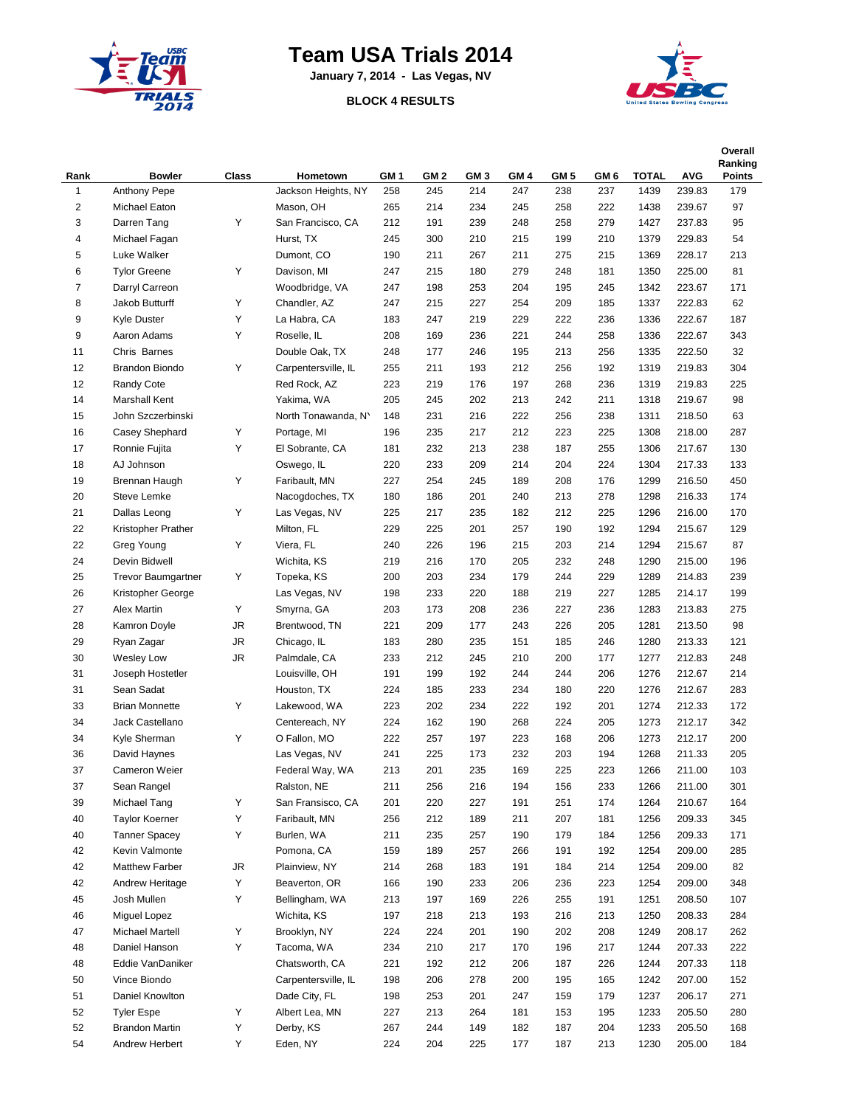

## **Team USA Trials 2014**

**January 7, 2014 - Las Vegas, NV**

## **BLOCK 4 RESULTS**



| Rank           | <b>Bowler</b>             | Class     | Hometown            | GM <sub>1</sub> | GM <sub>2</sub> | GM <sub>3</sub> | GM 4 | GM <sub>5</sub> | GM <sub>6</sub> | <b>TOTAL</b> | <b>AVG</b> | Overall<br>Ranking<br><b>Points</b> |
|----------------|---------------------------|-----------|---------------------|-----------------|-----------------|-----------------|------|-----------------|-----------------|--------------|------------|-------------------------------------|
| 1              | <b>Anthony Pepe</b>       |           | Jackson Heights, NY | 258             | 245             | 214             | 247  | 238             | 237             | 1439         | 239.83     | 179                                 |
| $\overline{2}$ | Michael Eaton             |           | Mason, OH           | 265             | 214             | 234             | 245  | 258             | 222             | 1438         | 239.67     | 97                                  |
| 3              | Darren Tang               | Υ         | San Francisco, CA   | 212             | 191             | 239             | 248  | 258             | 279             | 1427         | 237.83     | 95                                  |
| 4              | Michael Fagan             |           | Hurst, TX           | 245             | 300             | 210             | 215  | 199             | 210             | 1379         | 229.83     | 54                                  |
| 5              | Luke Walker               |           | Dumont, CO          | 190             | 211             | 267             | 211  | 275             | 215             | 1369         | 228.17     | 213                                 |
| 6              | <b>Tylor Greene</b>       | Y         | Davison, MI         | 247             | 215             | 180             | 279  | 248             | 181             | 1350         | 225.00     | 81                                  |
| $\overline{7}$ | Darryl Carreon            |           | Woodbridge, VA      | 247             | 198             | 253             | 204  | 195             | 245             | 1342         | 223.67     | 171                                 |
| 8              | Jakob Butturff            | Υ         | Chandler, AZ        | 247             | 215             | 227             | 254  | 209             | 185             | 1337         | 222.83     | 62                                  |
| 9              | <b>Kyle Duster</b>        | Υ         | La Habra, CA        | 183             | 247             | 219             | 229  | 222             | 236             | 1336         | 222.67     | 187                                 |
| 9              | Aaron Adams               | Υ         | Roselle, IL         | 208             | 169             | 236             | 221  | 244             | 258             | 1336         | 222.67     | 343                                 |
| 11             | Chris Barnes              |           | Double Oak, TX      | 248             | 177             | 246             | 195  | 213             | 256             | 1335         | 222.50     | 32                                  |
| 12             | Brandon Biondo            | Υ         | Carpentersville, IL | 255             | 211             | 193             | 212  | 256             | 192             | 1319         | 219.83     | 304                                 |
| 12             | Randy Cote                |           | Red Rock, AZ        | 223             | 219             | 176             | 197  | 268             | 236             | 1319         | 219.83     | 225                                 |
| 14             | Marshall Kent             |           | Yakima, WA          | 205             | 245             | 202             | 213  | 242             | 211             | 1318         | 219.67     | 98                                  |
| 15             | John Szczerbinski         |           | North Tonawanda, N' | 148             | 231             | 216             | 222  | 256             | 238             | 1311         | 218.50     | 63                                  |
| 16             | Casey Shephard            | Υ         | Portage, MI         | 196             | 235             | 217             | 212  | 223             | 225             | 1308         | 218.00     | 287                                 |
| 17             | Ronnie Fujita             | Υ         | El Sobrante, CA     | 181             | 232             | 213             | 238  | 187             | 255             | 1306         | 217.67     | 130                                 |
| 18             | AJ Johnson                |           | Oswego, IL          | 220             | 233             | 209             | 214  | 204             | 224             | 1304         | 217.33     | 133                                 |
| 19             | Brennan Haugh             | Υ         | Faribault, MN       | 227             | 254             | 245             | 189  | 208             | 176             | 1299         | 216.50     | 450                                 |
| 20             | <b>Steve Lemke</b>        |           | Nacogdoches, TX     | 180             | 186             | 201             | 240  | 213             | 278             | 1298         | 216.33     | 174                                 |
| 21             | Dallas Leong              | Υ         | Las Vegas, NV       | 225             | 217             | 235             | 182  | 212             | 225             | 1296         | 216.00     | 170                                 |
| 22             | Kristopher Prather        |           | Milton, FL          | 229             | 225             | 201             | 257  | 190             | 192             | 1294         | 215.67     | 129                                 |
| 22             | Greg Young                | Υ         | Viera, FL           | 240             | 226             | 196             | 215  | 203             | 214             | 1294         | 215.67     | 87                                  |
| 24             | Devin Bidwell             |           | Wichita, KS         | 219             | 216             | 170             | 205  | 232             | 248             | 1290         | 215.00     | 196                                 |
| 25             | <b>Trevor Baumgartner</b> | Y         | Topeka, KS          | 200             | 203             | 234             | 179  | 244             | 229             | 1289         | 214.83     | 239                                 |
| 26             | Kristopher George         |           | Las Vegas, NV       | 198             | 233             | 220             | 188  | 219             | 227             | 1285         | 214.17     | 199                                 |
| 27             | <b>Alex Martin</b>        | Υ         | Smyrna, GA          | 203             | 173             | 208             | 236  | 227             | 236             | 1283         | 213.83     | 275                                 |
| 28             | Kamron Doyle              | JR        | Brentwood, TN       | 221             | 209             | 177             | 243  | 226             | 205             | 1281         | 213.50     | 98                                  |
| 29             | Ryan Zagar                | <b>JR</b> | Chicago, IL         | 183             | 280             | 235             | 151  | 185             | 246             | 1280         | 213.33     | 121                                 |
| 30             | <b>Wesley Low</b>         | <b>JR</b> | Palmdale, CA        | 233             | 212             | 245             | 210  | 200             | 177             | 1277         | 212.83     | 248                                 |
| 31             | Joseph Hostetler          |           | Louisville, OH      | 191             | 199             | 192             | 244  | 244             | 206             | 1276         | 212.67     | 214                                 |
| 31             | Sean Sadat                |           | Houston, TX         | 224             | 185             | 233             | 234  | 180             | 220             | 1276         | 212.67     | 283                                 |
| 33             | <b>Brian Monnette</b>     | Υ         | Lakewood, WA        | 223             | 202             | 234             | 222  | 192             | 201             | 1274         | 212.33     | 172                                 |
| 34             | Jack Castellano           |           | Centereach, NY      | 224             | 162             | 190             | 268  | 224             | 205             | 1273         | 212.17     | 342                                 |
| 34             | Kyle Sherman              | Υ         | O Fallon, MO        | 222             | 257             | 197             | 223  | 168             | 206             | 1273         | 212.17     | 200                                 |
| 36             | David Haynes              |           | Las Vegas, NV       | 241             | 225             | 173             | 232  | 203             | 194             | 1268         | 211.33     | 205                                 |
| 37             | Cameron Weier             |           | Federal Way, WA     | 213             | 201             | 235             | 169  | 225             | 223             | 1266         | 211.00     | 103                                 |
| 37             | Sean Rangel               |           | Ralston, NE         | 211             | 256             | 216             | 194  | 156             | 233             | 1266         | 211.00     | 301                                 |
| 39             | Michael Tang              | Υ         | San Fransisco, CA   | 201             | 220             | 227             | 191  | 251             | 174             | 1264         | 210.67     | 164                                 |
| 40             | <b>Taylor Koerner</b>     | Υ         | Faribault, MN       | 256             | 212             | 189             | 211  | 207             | 181             | 1256         | 209.33     | 345                                 |
| 40             | <b>Tanner Spacey</b>      | Υ         | Burlen, WA          | 211             | 235             | 257             | 190  | 179             | 184             | 1256         | 209.33     | 171                                 |
| 42             | Kevin Valmonte            |           | Pomona, CA          | 159             | 189             | 257             | 266  | 191             | 192             | 1254         | 209.00     | 285                                 |
| 42             | Matthew Farber            | JR        | Plainview, NY       | 214             | 268             | 183             | 191  | 184             | 214             | 1254         | 209.00     | 82                                  |
| 42             | Andrew Heritage           | Υ         | Beaverton, OR       | 166             | 190             | 233             | 206  | 236             | 223             | 1254         | 209.00     | 348                                 |
| 45             | Josh Mullen               | Υ         | Bellingham, WA      | 213             | 197             | 169             | 226  | 255             | 191             | 1251         | 208.50     | 107                                 |
| 46             | Miguel Lopez              |           | Wichita, KS         | 197             | 218             | 213             | 193  | 216             | 213             | 1250         | 208.33     | 284                                 |
| 47             | <b>Michael Martell</b>    | Υ         | Brooklyn, NY        | 224             | 224             | 201             | 190  | 202             | 208             | 1249         | 208.17     | 262                                 |
| 48             | Daniel Hanson             | Υ         | Tacoma, WA          | 234             | 210             | 217             | 170  | 196             | 217             | 1244         | 207.33     | 222                                 |
| 48             | Eddie VanDaniker          |           | Chatsworth, CA      | 221             | 192             | 212             | 206  | 187             | 226             | 1244         | 207.33     | 118                                 |
| 50             | Vince Biondo              |           | Carpentersville, IL | 198             | 206             | 278             | 200  | 195             | 165             | 1242         | 207.00     | 152                                 |
| 51             | Daniel Knowlton           |           | Dade City, FL       | 198             | 253             | 201             | 247  | 159             | 179             | 1237         | 206.17     | 271                                 |
| 52             | <b>Tyler Espe</b>         | Υ         | Albert Lea, MN      | 227             | 213             | 264             | 181  | 153             | 195             | 1233         | 205.50     | 280                                 |
| 52             | <b>Brandon Martin</b>     | Υ         | Derby, KS           | 267             | 244             | 149             | 182  | 187             | 204             | 1233         | 205.50     | 168                                 |
| 54             | Andrew Herbert            | Υ         | Eden, NY            | 224             | 204             | 225             | 177  | 187             | 213             | 1230         | 205.00     | 184                                 |
|                |                           |           |                     |                 |                 |                 |      |                 |                 |              |            |                                     |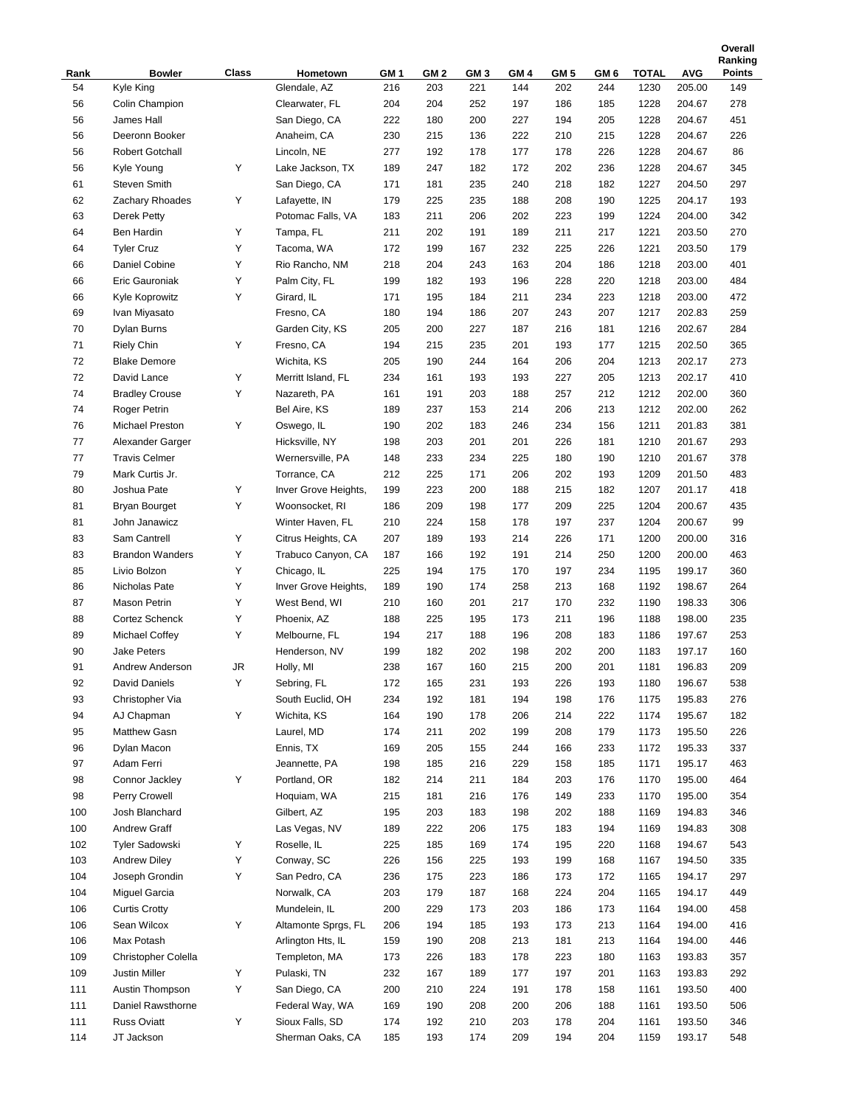| Rank       | <b>Bowler</b>                         | Class  | Hometown                                 | GM 1       | GM 2       | GM <sub>3</sub> | GM <sub>4</sub> | GM 5       | GM 6       | <b>TOTAL</b> | <b>AVG</b>       | Ranking<br>Points |
|------------|---------------------------------------|--------|------------------------------------------|------------|------------|-----------------|-----------------|------------|------------|--------------|------------------|-------------------|
| 54         | Kyle King                             |        | Glendale, AZ                             | 216        | 203        | 221             | 144             | 202        | 244        | 1230         | 205.00           | 149               |
| 56         | Colin Champion                        |        | Clearwater, FL                           | 204        | 204        | 252             | 197             | 186        | 185        | 1228         | 204.67           | 278               |
| 56         | James Hall                            |        | San Diego, CA                            | 222        | 180        | 200             | 227             | 194        | 205        | 1228         | 204.67           | 451               |
| 56         | Deeronn Booker                        |        | Anaheim, CA                              | 230        | 215        | 136             | 222             | 210        | 215        | 1228         | 204.67           | 226               |
| 56         | <b>Robert Gotchall</b>                |        | Lincoln, NE                              | 277        | 192        | 178             | 177             | 178        | 226        | 1228         | 204.67           | 86                |
| 56         | Kyle Young                            | Υ      | Lake Jackson, TX                         | 189        | 247        | 182             | 172             | 202        | 236        | 1228         | 204.67           | 345               |
| 61         | Steven Smith                          |        | San Diego, CA                            | 171        | 181        | 235             | 240             | 218        | 182        | 1227         | 204.50           | 297               |
| 62         | Zachary Rhoades                       | Υ      | Lafayette, IN                            | 179        | 225        | 235             | 188             | 208        | 190        | 1225         | 204.17           | 193               |
| 63         | Derek Petty                           |        | Potomac Falls, VA                        | 183        | 211        | 206             | 202             | 223        | 199        | 1224         | 204.00           | 342               |
| 64         | Ben Hardin                            | Υ      | Tampa, FL                                | 211        | 202        | 191             | 189             | 211        | 217        | 1221         | 203.50           | 270               |
| 64         | <b>Tyler Cruz</b>                     | Υ      | Tacoma, WA                               | 172        | 199        | 167             | 232             | 225        | 226        | 1221         | 203.50           | 179               |
| 66         | Daniel Cobine                         | Υ      | Rio Rancho, NM                           | 218        | 204        | 243             | 163             | 204        | 186        | 1218         | 203.00           | 401               |
| 66         | Eric Gauroniak                        | Υ      | Palm City, FL                            | 199        | 182        | 193             | 196             | 228        | 220        | 1218         | 203.00           | 484               |
| 66         | Kyle Koprowitz                        | Υ      | Girard, IL                               | 171        | 195        | 184             | 211             | 234        | 223        | 1218         | 203.00           | 472               |
| 69         | Ivan Miyasato                         |        | Fresno, CA                               | 180        | 194        | 186             | 207             | 243        | 207        | 1217         | 202.83           | 259               |
| 70         | Dylan Burns                           |        | Garden City, KS                          | 205        | 200        | 227             | 187             | 216        | 181        | 1216         | 202.67           | 284               |
| 71         | <b>Riely Chin</b>                     | Υ      | Fresno, CA                               | 194        | 215        | 235             | 201             | 193        | 177        | 1215         | 202.50           | 365               |
| 72         | <b>Blake Demore</b>                   |        | Wichita, KS                              | 205        | 190        | 244             | 164             | 206        | 204        | 1213         | 202.17           | 273               |
| 72         | David Lance                           | Υ      | Merritt Island, FL                       | 234        | 161        | 193             | 193             | 227        | 205        | 1213         | 202.17           | 410               |
| 74         | <b>Bradley Crouse</b>                 | Υ      | Nazareth, PA                             | 161        | 191        | 203             | 188             | 257        | 212        | 1212         | 202.00           | 360               |
| 74         | <b>Roger Petrin</b>                   |        | Bel Aire, KS                             | 189        | 237        | 153             | 214             | 206        | 213        | 1212         | 202.00           | 262               |
| 76         | <b>Michael Preston</b>                | Υ      | Oswego, IL                               | 190        | 202        | 183             | 246             | 234        | 156        | 1211         | 201.83           | 381               |
| 77         | Alexander Garger                      |        | Hicksville, NY                           | 198        | 203        | 201             | 201             | 226        | 181        | 1210         | 201.67           | 293               |
| 77         | <b>Travis Celmer</b>                  |        | Wernersville, PA                         | 148        | 233        | 234             | 225             | 180        | 190        | 1210         | 201.67           | 378               |
| 79         | Mark Curtis Jr.                       |        | Torrance, CA                             | 212        | 225        | 171             | 206             | 202        | 193        | 1209         | 201.50           | 483               |
| 80         | Joshua Pate                           | Υ      | Inver Grove Heights,                     | 199        | 223        | 200             | 188             | 215        | 182        | 1207         | 201.17           | 418               |
| 81         | <b>Bryan Bourget</b>                  | Υ      | Woonsocket, RI                           |            | 209        | 198             | 177             | 209        | 225        | 1204         | 200.67           | 435               |
| 81         | John Janawicz                         |        | Winter Haven, FL                         | 186<br>210 | 224        | 158             | 178             | 197        | 237        | 1204         | 200.67           | 99                |
| 83         | Sam Cantrell                          | Υ      |                                          | 207        | 189        | 193             | 214             | 226        | 171        | 1200         | 200.00           | 316               |
| 83         | <b>Brandon Wanders</b>                | Υ      | Citrus Heights, CA<br>Trabuco Canyon, CA |            | 166        | 192             | 191             | 214        | 250        | 1200         | 200.00           | 463               |
|            | Livio Bolzon                          |        |                                          | 187        |            | 175             |                 |            |            |              |                  |                   |
| 85<br>86   | Nicholas Pate                         | Υ<br>Υ | Chicago, IL<br>Inver Grove Heights,      | 225<br>189 | 194<br>190 | 174             | 170<br>258      | 197<br>213 | 234<br>168 | 1195<br>1192 | 199.17<br>198.67 | 360<br>264        |
| 87         | Mason Petrin                          | Υ      | West Bend, WI                            | 210        | 160        | 201             | 217             | 170        | 232        | 1190         | 198.33           | 306               |
| 88         | Cortez Schenck                        | Υ      | Phoenix, AZ                              | 188        | 225        | 195             | 173             | 211        | 196        | 1188         | 198.00           | 235               |
| 89         | Michael Coffey                        | Υ      | Melbourne, FL                            | 194        | 217        | 188             | 196             | 208        | 183        | 1186         | 197.67           | 253               |
| 90         | <b>Jake Peters</b>                    |        | Henderson, NV                            | 199        | 182        | 202             | 198             | 202        | 200        | 1183         | 197.17           | 160               |
| 91         | Andrew Anderson                       | JR     | Holly, MI                                | 238        | 167        | 160             | 215             | 200        | 201        | 1181         | 196.83           | 209               |
| 92         | David Daniels                         | Υ      | Sebring, FL                              | 172        | 165        | 231             | 193             | 226        | 193        | 1180         | 196.67           | 538               |
| 93         | Christopher Via                       |        | South Euclid, OH                         | 234        | 192        | 181             | 194             | 198        | 176        | 1175         | 195.83           | 276               |
| 94         | AJ Chapman                            | Υ      | Wichita, KS                              | 164        | 190        | 178             | 206             | 214        | 222        | 1174         | 195.67           | 182               |
| 95         | Matthew Gasn                          |        | Laurel, MD                               | 174        | 211        | 202             | 199             | 208        | 179        | 1173         | 195.50           | 226               |
| 96         | Dylan Macon                           |        | Ennis, TX                                | 169        | 205        | 155             | 244             | 166        | 233        | 1172         | 195.33           | 337               |
| 97         | Adam Ferri                            |        | Jeannette, PA                            | 198        | 185        | 216             | 229             | 158        | 185        | 1171         | 195.17           | 463               |
| 98         | Connor Jackley                        | Υ      | Portland, OR                             | 182        | 214        | 211             | 184             | 203        | 176        | 1170         | 195.00           | 464               |
| 98         | Perry Crowell                         |        | Hoquiam, WA                              |            | 181        |                 | 176             | 149        | 233        | 1170         | 195.00           | 354               |
| 100        | Josh Blanchard                        |        | Gilbert, AZ                              | 215<br>195 | 203        | 216<br>183      | 198             | 202        | 188        | 1169         | 194.83           | 346               |
| 100        | <b>Andrew Graff</b>                   |        | Las Vegas, NV                            |            |            | 206             |                 | 183        |            | 1169         | 194.83           |                   |
| 102        | Tyler Sadowski                        | Υ      | Roselle, IL                              | 189<br>225 | 222<br>185 | 169             | 175<br>174      | 195        | 194<br>220 | 1168         | 194.67           | 308<br>543        |
|            |                                       | Υ      |                                          |            |            |                 |                 |            |            |              |                  |                   |
| 103<br>104 | <b>Andrew Diley</b><br>Joseph Grondin | Υ      | Conway, SC<br>San Pedro, CA              | 226<br>236 | 156<br>175 | 225<br>223      | 193<br>186      | 199<br>173 | 168<br>172 | 1167<br>1165 | 194.50<br>194.17 | 335<br>297        |
| 104        |                                       |        | Norwalk, CA                              | 203        |            | 187             | 168             | 224        | 204        | 1165         | 194.17           | 449               |
|            | Miguel Garcia                         |        |                                          |            | 179        |                 |                 |            |            |              |                  |                   |
| 106        | <b>Curtis Crotty</b><br>Sean Wilcox   | Υ      | Mundelein, IL<br>Altamonte Sprgs, FL     | 200        | 229        | 173             | 203             | 186        | 173        | 1164         | 194.00<br>194.00 | 458               |
| 106        |                                       |        |                                          | 206        | 194        | 185             | 193             | 173        | 213        | 1164         |                  | 416               |
| 106        | Max Potash                            |        | Arlington Hts, IL                        | 159        | 190        | 208             | 213             | 181        | 213        | 1164         | 194.00           | 446               |
| 109        | Christopher Colella                   |        | Templeton, MA                            | 173        | 226        | 183             | 178             | 223        | 180        | 1163         | 193.83           | 357               |
| 109        | Justin Miller                         | Υ      | Pulaski, TN                              | 232        | 167        | 189             | 177             | 197        | 201        | 1163         | 193.83           | 292               |
| 111        | Austin Thompson                       | Υ      | San Diego, CA                            | 200        | 210        | 224             | 191             | 178        | 158        | 1161         | 193.50           | 400               |
| 111        | Daniel Rawsthorne                     |        | Federal Way, WA                          | 169        | 190        | 208             | 200             | 206        | 188        | 1161         | 193.50           | 506               |
| 111        | Russ Oviatt                           | Y      | Sioux Falls, SD                          | 174        | 192        | 210             | 203             | 178        | 204        | 1161         | 193.50           | 346               |
| 114        | JT Jackson                            |        | Sherman Oaks, CA                         | 185        | 193        | 174             | 209             | 194        | 204        | 1159         | 193.17           | 548               |

**Overall**